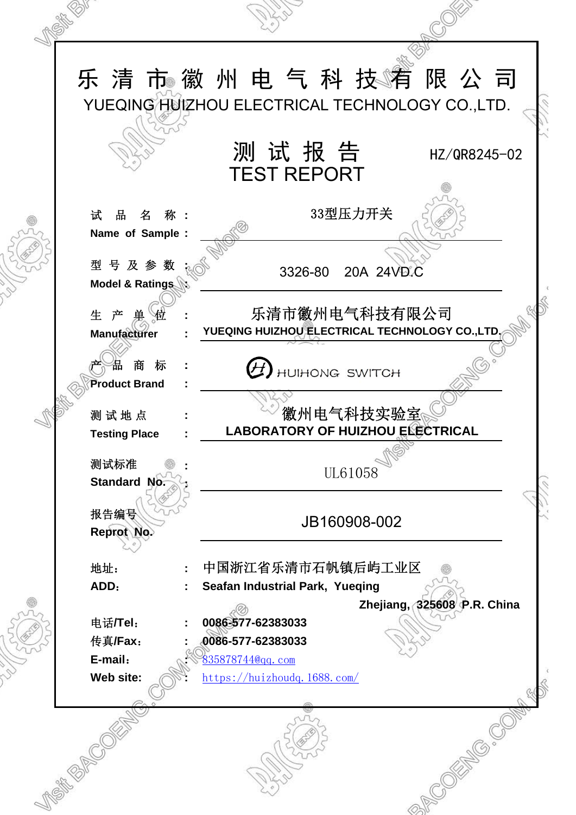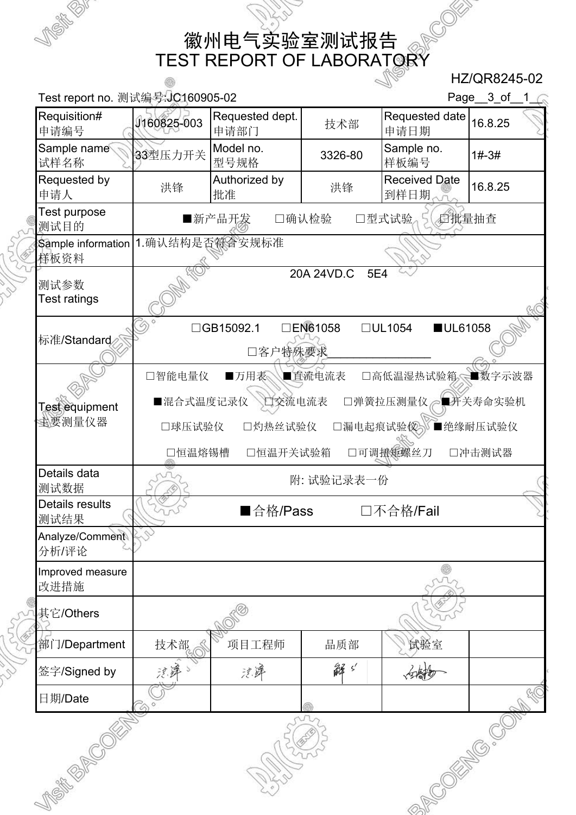徽州电气实验室测试报告 TEST REPORT OF LABORATORY

 HZ/QR8245-02 Test report no. 测试编号: JC160905-02 Page\_3\_of\_1\_ Requisition# Requested dept. | およい | Requested date Requisition# J160825-003 Requeste<br>申请编号 D160825-003 甲请部门 nequested date<br>申请日期 16.8.25 Sample name Sample name 33型压力开关 Model no.<br>试样名称 33型压力开关 型号规格  $3326-80$  Sample no. 样板编号 1#-3# Authorized by Received Date<br>批准 到样日期。 Requested by Authorized by<br>申请人 洪锋 <mark>批准</mark> Received Date<br>到样日期 Test purpose ■新产品开发 □确认检验 □型式试验 5 后批量抽查 测试目的 1.确认结构是否符合安规标准 Sample information 样板资料 20A 24VD.C 5E4 测试参数 Test ratings □GB15092.1 □EN61058 □UL1054 ■UL61058 标准/Standard □客户特殊要求\_\_\_\_\_\_\_\_\_\_\_\_\_\_\_\_ □智能电量仪 ■万用表 ■直流电流表 □高低温湿热试验箱 ■数字示波器 ■混合式温度记录仪 □交流电流表 □弹簧拉压测量仪 ■并关寿命实验机 Test equipment 主要测量仪器 □球压试验仪 □灼热丝试验仪 □漏电起痕试验仪》■绝缘耐压试验仪 □恒温熔锡槽 □恒温开关试验箱 □可调扭矩螺丝刀 □冲击测试器 Details data 附: 试验记录表一份 测试数据 Details results ■合格/Pass □不合格/Fail 测试结果 Analyze/Comment 分析/评论 Improved measure 改进措施 其它/Others 部门/Department | 技术部 < \\ 项目工程师 | 品质部 | \ 试验室 沈建》 解ゞ 沈泽 白樹 签字/Signed by **CONTROLLER COMPASSION** 日期/Date **SITES SEPTER**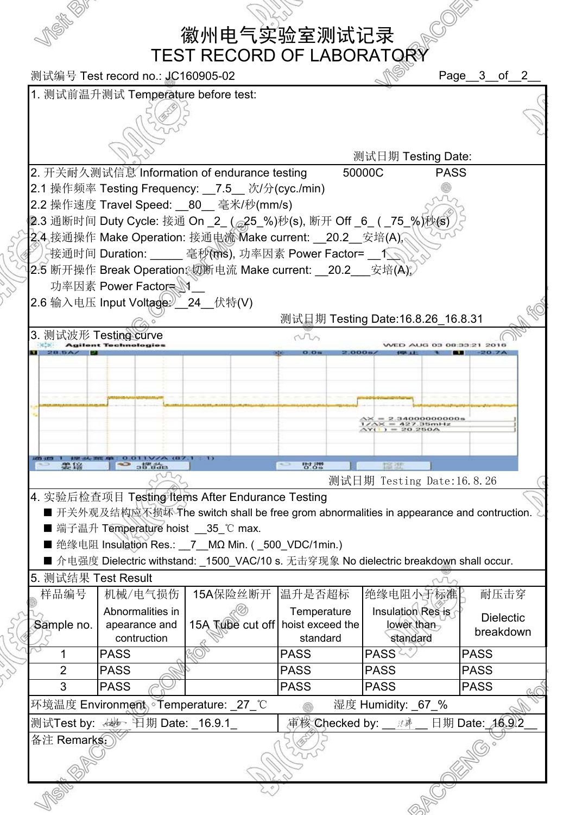